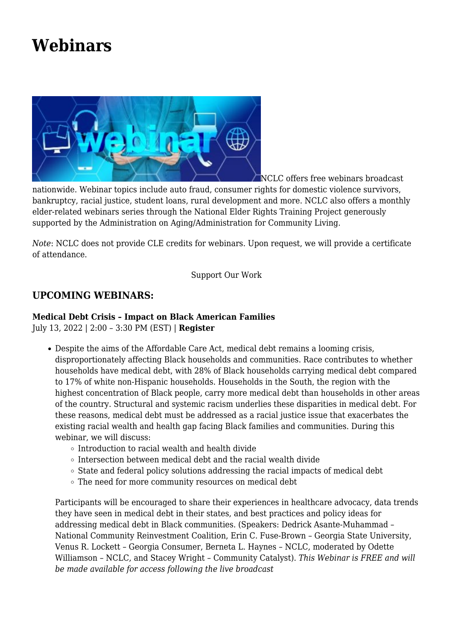## **[Webinars](https://www.nclc.org/conferences-training/conferences-a-training/webinars.html)**



NCLC offers free webinars broadcast

nationwide. Webinar topics include auto fraud, consumer rights for domestic violence survivors, bankruptcy, racial justice, student loans, rural development and more. NCLC also offers a monthly elder-related webinars series through the National Elder Rights Training Project generously supported by the Administration on Aging/Administration for Community Living.

*Note*: NCLC does not provide CLE credits for webinars. Upon request, we will provide a certificate of attendance.

[Support Our Work](https://nclc.salsalabs.org/webinardonationform/index.html)

## **UPCOMING WEBINARS:**

## **Medical Debt Crisis – Impact on Black American Families**

July 13, 2022 | 2:00 – 3:30 PM (EST) | **[Register](https://us02web.zoom.us/webinar/register/WN_hBn2p2_YQ1Sm6ma7cCSzQg)**

- Despite the aims of the Affordable Care Act, medical debt remains a looming crisis, disproportionately affecting Black households and communities. Race contributes to whether households have medical debt, with 28% of Black households carrying medical debt compared to 17% of white non-Hispanic households. Households in the South, the region with the highest concentration of Black people, carry more medical debt than households in other areas of the country. Structural and systemic racism underlies these disparities in medical debt. For these reasons, medical debt must be addressed as a racial justice issue that exacerbates the existing racial wealth and health gap facing Black families and communities. During this webinar, we will discuss:
	- $\circ$  Introduction to racial wealth and health divide
	- $\circ$  Intersection between medical debt and the racial wealth divide
	- $\circ$  State and federal policy solutions addressing the racial impacts of medical debt
	- The need for more community resources on medical debt

Participants will be encouraged to share their experiences in healthcare advocacy, data trends they have seen in medical debt in their states, and best practices and policy ideas for addressing medical debt in Black communities. (Speakers: Dedrick Asante-Muhammad – National Community Reinvestment Coalition, Erin C. Fuse-Brown – Georgia State University, Venus R. Lockett – Georgia Consumer, Berneta L. Haynes – NCLC, moderated by Odette Williamson – NCLC, and Stacey Wright – Community Catalyst). *This Webinar is FREE and will be made available for access following the live broadcast*